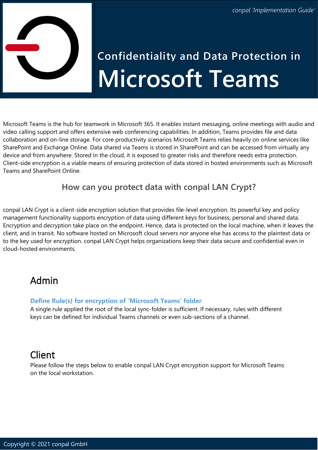

# **Confidentiality and Data Protection in Microsoft Teams**

Microsoft Teams is the hub for teamwork in Microsoft 365. It enables instant messaging, online meetings with audio and video calling support and offers extensive web conferencing capabilities. In addition, Teams provides file and data collaboration and on-line storage. For core productivity scenarios Microsoft Teams relies heavily on online services like SharePoint and Exchange Online. Data shared via Teams is stored in SharePoint and can be accessed from virtually any device and from anywhere. Stored in the cloud, it is exposed to greater risks and therefore needs extra protection. Client-side encryption is a viable means of ensuring protection of data stored in hosted environments such as Microsoft Teams and SharePoint Online.

## **How can you protect data with conpal LAN Crypt?**

conpal LAN Crypt is a client-side encryption solution that provides file-level encryption. Its powerful key and policy management functionality supports encryption of data using different keys for business, personal and shared data. Encryption and decryption take place on the endpoint. Hence, data is protected on the local machine, when it leaves the client, and in transit. No software hosted on Microsoft cloud servers nor anyone else has access to the plaintext data or to the key used for encryption. conpal LAN Crypt helps organizations keep their data secure and confidential even in cloud-hosted environments.

## Admin

#### **Define Rule(s) for encryption of 'Microsoft Teams' folder**

A single rule applied the root of the local sync-folder is sufficient. If necessary, rules with different keys can be defined for individual Teams channels or even sub-sections of a channel.

# Client

Please follow the steps below to enable conpal LAN Crypt encryption support for Microsoft Teams on the local workstation.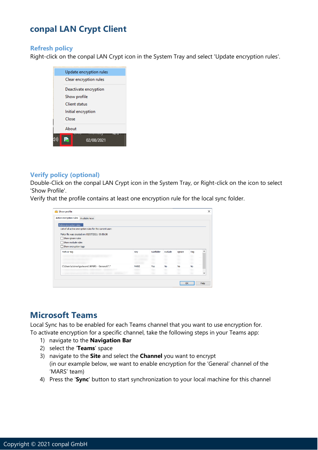## **conpal LAN Crypt Client**

#### **Refresh policy**

Right-click on the conpal LAN Crypt icon in the System Tray and select 'Update encryption rules'.



#### **Verify policy (optional)**

Double-Click on the conpal LAN Crypt icon in the System Tray, or Right-click on the icon to select 'Show Profile'.

Verify that the profile contains at least one encryption rule for the local sync folder.

| Active encryption rules Available keys                    |             |             |          |           |           |   |
|-----------------------------------------------------------|-------------|-------------|----------|-----------|-----------|---|
| Active encryption rules                                   |             |             |          |           |           |   |
| List of all active encryption rules for the current user: |             |             |          |           |           |   |
| Policy file was created on: 05/07/2021 09:50:36           |             |             |          |           |           |   |
| Show ignore rules                                         |             |             |          |           |           |   |
|                                                           |             |             |          |           |           |   |
| Show exclude rules                                        |             |             |          |           |           |   |
| Show encryption tags                                      |             |             |          |           |           |   |
| Path or tag                                               | Key         | Subfolder   | Exclude  | Ignore    | Tag       | Λ |
|                                                           |             |             |          |           |           |   |
|                                                           |             |             |          |           |           |   |
|                                                           | <b>MARS</b> |             | 36<br>No | <b>No</b> | <b>No</b> |   |
| C\Users\clairev\palware\ MARS - General\*.*               | MADC        | Yes<br>Vien | No       | No        | No        |   |

## **Microsoft Teams**

Local Sync has to be enabled for each Teams channel that you want to use encryption for. To activate encryption for a specific channel, take the following steps in your Teams app:

- 1) navigate to the **Navigation Bar**
- 2) select the '**Teams**' space
- 3) navigate to the **Site** and select the **Channel** you want to encrypt (in our example below, we want to enable encryption for the 'General' channel of the 'MARS' team)
- 4) Press the '**Sync**' button to start synchronization to your local machine for this channel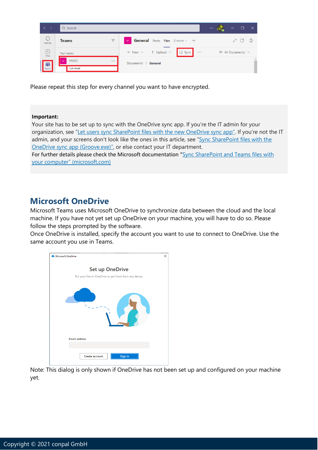|               | Q Search         |          |                                                                                           | □<br>$\cdots$                 |  |
|---------------|------------------|----------|-------------------------------------------------------------------------------------------|-------------------------------|--|
| L<br>Activity | <b>Teams</b>     | Ξ        | <b>General</b> Posts Files $2 \text{ more} \times +$<br>M                                 | 7 C @                         |  |
| E<br>Chat     | Your teams       |          | $+$ New $\vee$ $\bar{\uparrow}$ Upload $\vee$ $\bar{\downarrow}$ Sync<br>$\sim$ 100 $\mu$ | $\equiv$ All Documents $\vee$ |  |
| <b>i</b> iii  | <b>MARS</b><br>M | $\cdots$ | Documents $\sum$ General                                                                  |                               |  |
| Teams         | General          |          |                                                                                           |                               |  |

Please repeat this step for every channel you want to have encrypted.

#### **Important:**

Your site has to be set up to sync with the OneDrive sync app. If you're the IT admin for your organization, see "[Let users sync SharePoint files with the new OneDrive sync app](https://docs.microsoft.com/sharepoint/let-users-use-new-onedrive-sync-client)". If you're not the IT admin, and your screens don't look like the ones in this article, see "[Sync SharePoint files with the](https://support.microsoft.com/en-us/office/sync-sharepoint-files-with-the-onedrive-sync-client-groove-exe-59b1de2b-519e-4d3a-8f45-51647cf291cd)  [OneDrive sync app \(Groove.exe\)](https://support.microsoft.com/en-us/office/sync-sharepoint-files-with-the-onedrive-sync-client-groove-exe-59b1de2b-519e-4d3a-8f45-51647cf291cd)", or else contact your IT department.

For further details please check the Microsoft documentation "[Sync SharePoint and Teams files with](https://support.microsoft.com/en-us/office/sync-sharepoint-and-teams-files-with-your-computer-6de9ede8-5b6e-4503-80b2-6190f3354a88)  your computer" [\(microsoft.com\)](https://support.microsoft.com/en-us/office/sync-sharepoint-and-teams-files-with-your-computer-6de9ede8-5b6e-4503-80b2-6190f3354a88)

### **Microsoft OneDrive**

Microsoft Teams uses Microsoft OneDrive to synchronize data between the cloud and the local machine. If you have not yet set up OneDrive on your machine, you will have to do so. Please follow the steps prompted by the software.

Once OneDrive is installed, specify the account you want to use to connect to OneDrive. Use the same account you use in Teams.



Note: This dialog is only shown if OneDrive has not been set up and configured on your machine yet.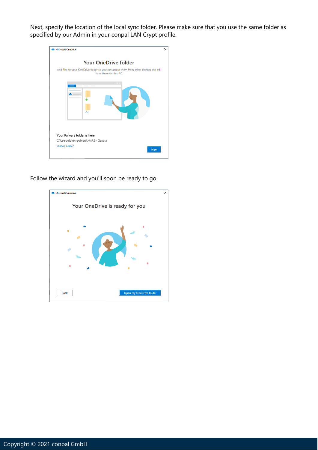Next, specify the location of the local sync folder. Please make sure that you use the same folder as specified by our Admin in your conpal LAN Crypt profile.

| <b>Microsoft OneDrive</b>                                                                                      | × |
|----------------------------------------------------------------------------------------------------------------|---|
| <b>Your OneDrive folder</b>                                                                                    |   |
| Add files to your OneDrive folder so you can access them from other devices and still<br>have them on this PC. |   |
| $-$ 0 $\rightarrow$                                                                                            |   |
| Your Palware folder is here<br>C:\Users\clairev\palware\MARS - General                                         |   |
| <b>Change location</b><br><b>Next</b>                                                                          |   |

Follow the wizard and you'll soon be ready to go.

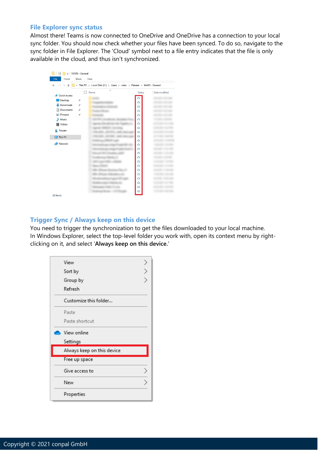#### **File Explorer sync status**

Almost there! Teams is now connected to OneDrive and OneDrive has a connection to your local sync folder. You should now check whether your files have been synced. To do so, navigate to the sync folder in File Explorer. The 'Cloud' symbol next to a file entry indicates that the file is only available in the cloud, and thus isn't synchronized.



#### **Trigger Sync / Always keep on this device**

You need to trigger the synchronization to get the files downloaded to your local machine. In Windows Explorer, select the top-level folder you work with, open its context menu by rightclicking on it, and select '**Always keep on this device.**'

| View                       |  |
|----------------------------|--|
| Sort by                    |  |
| Group by                   |  |
| Refresh                    |  |
| Customize this folder      |  |
| Paste                      |  |
| Paste shortcut             |  |
| View online                |  |
| Settings                   |  |
| Always keep on this device |  |
| Free up space              |  |
| Give access to             |  |
| New                        |  |
| Properties                 |  |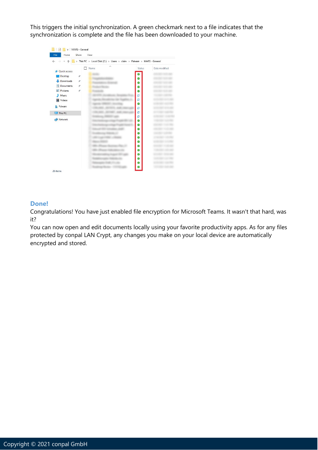This triggers the initial synchronization. A green checkmark next to a file indicates that the synchronization is complete and the file has been downloaded to your machine.



#### **Done!**

Congratulations! You have just enabled file encryption for Microsoft Teams. It wasn't that hard, was it?

You can now open and edit documents locally using your favorite productivity apps. As for any files protected by conpal LAN Crypt, any changes you make on your local device are automatically encrypted and stored.